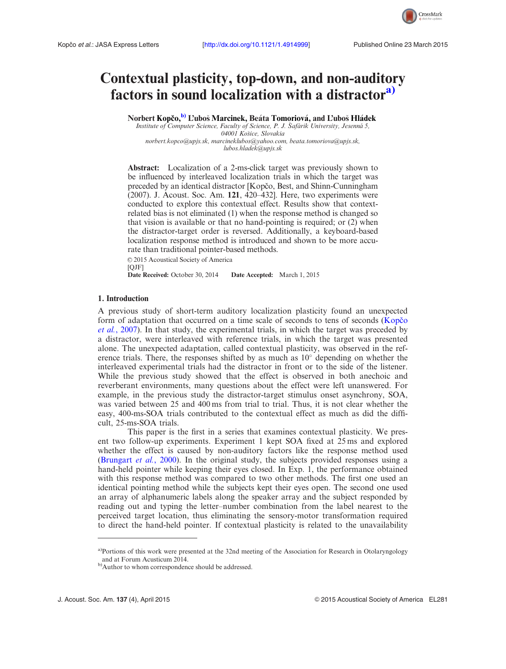

# Contextual plasticity, top-down, and non-auditory factors in sound localization with a distractor<sup>a)</sup>

Norbert Kopčo,<sup>b)</sup> L'uboš Marcinek, Beáta Tomoriová, and L'uboš Hládek

Institute of Computer Science, Faculty of Science, P. J. Šafárik University, Jesenná 5, 04001 Košice, Slovakia [norbert.kopco@upjs.sk,](mailto:norbert.kopco@upjs.sk) [marcineklubos@yahoo.com](mailto:marcineklubos@yahoo.com), [beata.tomoriova@upjs.sk,](mailto:beata.tomoriova@upjs.sk) [lubos.hladek@upjs.sk](mailto:lubos.hladek@upjs.sk)

Abstract: Localization of a 2-ms-click target was previously shown to be influenced by interleaved localization trials in which the target was preceded by an identical distractor [Kopčo, Best, and Shinn-Cunningham (2007). J. Acoust. Soc. Am. 121, 420–432]. Here, two experiments were conducted to explore this contextual effect. Results show that contextrelated bias is not eliminated (1) when the response method is changed so that vision is available or that no hand-pointing is required; or (2) when the distractor-target order is reversed. Additionally, a keyboard-based localization response method is introduced and shown to be more accurate than traditional pointer-based methods.

© 2015 Acoustical Society of America [QJF]

Date Received: October 30, 2014 Date Accepted: March 1, 2015

## 1. Introduction

A previous study of short-term auditory localization plasticity found an unexpected form of adaptation that occurred on a time scale of seconds to tens of seconds (Kopco et al.[, 2007\)](#page-6-0). In that study, the experimental trials, in which the target was preceded by a distractor, were interleaved with reference trials, in which the target was presented alone. The unexpected adaptation, called contextual plasticity, was observed in the reference trials. There, the responses shifted by as much as  $10^{\circ}$  depending on whether the interleaved experimental trials had the distractor in front or to the side of the listener. While the previous study showed that the effect is observed in both anechoic and reverberant environments, many questions about the effect were left unanswered. For example, in the previous study the distractor-target stimulus onset asynchrony, SOA, was varied between 25 and 400 ms from trial to trial. Thus, it is not clear whether the easy, 400-ms-SOA trials contributed to the contextual effect as much as did the difficult, 25-ms-SOA trials.

This paper is the first in a series that examines contextual plasticity. We present two follow-up experiments. Experiment 1 kept SOA fixed at 25 ms and explored whether the effect is caused by non-auditory factors like the response method used ([Brungart](#page-6-0) *et al.*, 2000). In the original study, the subjects provided responses using a hand-held pointer while keeping their eyes closed. In Exp. 1, the performance obtained with this response method was compared to two other methods. The first one used an identical pointing method while the subjects kept their eyes open. The second one used an array of alphanumeric labels along the speaker array and the subject responded by reading out and typing the letter–number combination from the label nearest to the perceived target location, thus eliminating the sensory-motor transformation required to direct the hand-held pointer. If contextual plasticity is related to the unavailability

a)Portions of this work were presented at the 32nd meeting of the Association for Research in Otolaryngology and at Forum Acusticum 2014.

b)Author to whom correspondence should be addressed.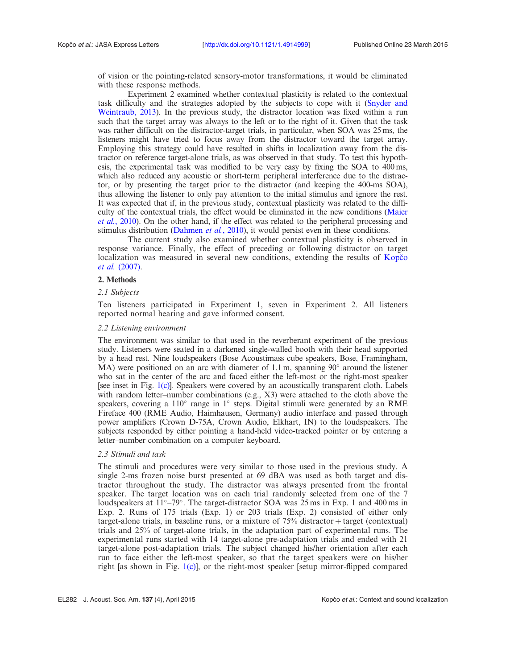of vision or the pointing-related sensory-motor transformations, it would be eliminated with these response methods.

Experiment 2 examined whether contextual plasticity is related to the contextual task difficulty and the strategies adopted by the subjects to cope with it [\(Snyder and](#page-6-0) [Weintraub, 2013\)](#page-6-0). In the previous study, the distractor location was fixed within a run such that the target array was always to the left or to the right of it. Given that the task was rather difficult on the distractor-target trials, in particular, when SOA was 25 ms, the listeners might have tried to focus away from the distractor toward the target array. Employing this strategy could have resulted in shifts in localization away from the distractor on reference target-alone trials, as was observed in that study. To test this hypothesis, the experimental task was modified to be very easy by fixing the SOA to 400 ms, which also reduced any acoustic or short-term peripheral interference due to the distractor, or by presenting the target prior to the distractor (and keeping the 400-ms SOA), thus allowing the listener to only pay attention to the initial stimulus and ignore the rest. It was expected that if, in the previous study, contextual plasticity was related to the difficulty of the contextual trials, the effect would be eliminated in the new conditions [\(Maier](#page-6-0) et al.[, 2010\)](#page-6-0). On the other hand, if the effect was related to the peripheral processing and stimulus distribution ([Dahmen](#page-6-0) et al., 2010), it would persist even in these conditions.

The current study also examined whether contextual plasticity is observed in response variance. Finally, the effect of preceding or following distractor on target localization was measured in several new conditions, extending the results of Kopčo et al. [\(2007\).](#page-6-0)

# 2. Methods

# 2.1 Subjects

Ten listeners participated in Experiment 1, seven in Experiment 2. All listeners reported normal hearing and gave informed consent.

# 2.2 Listening environment

The environment was similar to that used in the reverberant experiment of the previous study. Listeners were seated in a darkened single-walled booth with their head supported by a head rest. Nine loudspeakers (Bose Acoustimass cube speakers, Bose, Framingham,  $MA$ ) were positioned on an arc with diameter of 1.1 m, spanning  $90^\circ$  around the listener who sat in the center of the arc and faced either the left-most or the right-most speaker [see inset in Fig. [1\(c\)](#page-2-0)]. Speakers were covered by an acoustically transparent cloth. Labels with random letter–number combinations (e.g., X3) were attached to the cloth above the speakers, covering a  $110^{\circ}$  range in  $1^{\circ}$  steps. Digital stimuli were generated by an RME Fireface 400 (RME Audio, Haimhausen, Germany) audio interface and passed through power amplifiers (Crown D-75A, Crown Audio, Elkhart, IN) to the loudspeakers. The subjects responded by either pointing a hand-held video-tracked pointer or by entering a letter–number combination on a computer keyboard.

## 2.3 Stimuli and task

The stimuli and procedures were very similar to those used in the previous study. A single 2-ms frozen noise burst presented at 69 dBA was used as both target and distractor throughout the study. The distractor was always presented from the frontal speaker. The target location was on each trial randomly selected from one of the 7 loudspeakers at  $11^{\circ} - 79^{\circ}$ . The target-distractor SOA was 25 ms in Exp. 1 and 400 ms in Exp. 2. Runs of 175 trials (Exp. 1) or 203 trials (Exp. 2) consisted of either only target-alone trials, in baseline runs, or a mixture of  $75\%$  distractor + target (contextual) trials and 25% of target-alone trials, in the adaptation part of experimental runs. The experimental runs started with 14 target-alone pre-adaptation trials and ended with 21 target-alone post-adaptation trials. The subject changed his/her orientation after each run to face either the left-most speaker, so that the target speakers were on his/her right [as shown in Fig.  $1(c)$ ], or the right-most speaker [setup mirror-flipped compared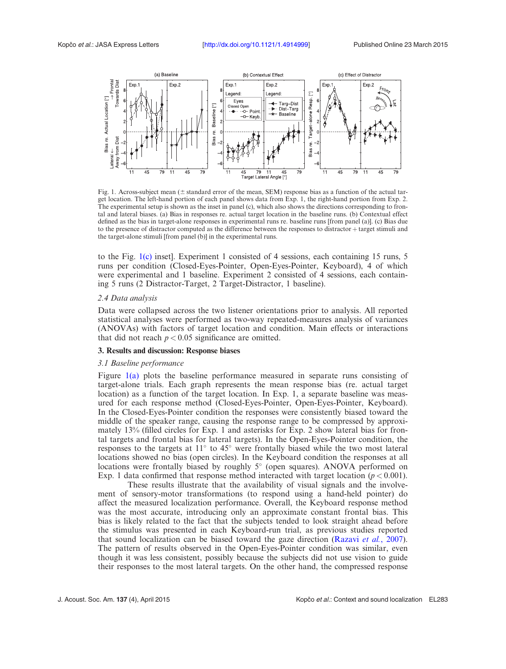<span id="page-2-0"></span>

Fig. 1. Across-subject mean  $(± standard error of the mean, SEM)$  response bias as a function of the actual target location. The left-hand portion of each panel shows data from Exp. 1, the right-hand portion from Exp. 2. The experimental setup is shown as the inset in panel (c), which also shows the directions corresponding to frontal and lateral biases. (a) Bias in responses re. actual target location in the baseline runs. (b) Contextual effect defined as the bias in target-alone responses in experimental runs re. baseline runs [from panel (a)]. (c) Bias due to the presence of distractor computed as the difference between the responses to distractor + target stimuli and the target-alone stimuli [from panel (b)] in the experimental runs.

to the Fig. 1(c) inset]. Experiment 1 consisted of 4 sessions, each containing 15 runs, 5 runs per condition (Closed-Eyes-Pointer, Open-Eyes-Pointer, Keyboard), 4 of which were experimental and 1 baseline. Experiment 2 consisted of 4 sessions, each containing 5 runs (2 Distractor-Target, 2 Target-Distractor, 1 baseline).

## 2.4 Data analysis

Data were collapsed across the two listener orientations prior to analysis. All reported statistical analyses were performed as two-way repeated-measures analysis of variances (ANOVAs) with factors of target location and condition. Main effects or interactions that did not reach  $p < 0.05$  significance are omitted.

# 3. Results and discussion: Response biases

# 3.1 Baseline performance

Figure 1(a) plots the baseline performance measured in separate runs consisting of target-alone trials. Each graph represents the mean response bias (re. actual target location) as a function of the target location. In Exp. 1, a separate baseline was measured for each response method (Closed-Eyes-Pointer, Open-Eyes-Pointer, Keyboard). In the Closed-Eyes-Pointer condition the responses were consistently biased toward the middle of the speaker range, causing the response range to be compressed by approximately 13% (filled circles for Exp. 1 and asterisks for Exp. 2 show lateral bias for frontal targets and frontal bias for lateral targets). In the Open-Eyes-Pointer condition, the responses to the targets at  $11^{\circ}$  to  $45^{\circ}$  were frontally biased while the two most lateral locations showed no bias (open circles). In the Keyboard condition the responses at all locations were frontally biased by roughly 5° (open squares). ANOVA performed on Exp. 1 data confirmed that response method interacted with target location ( $p < 0.001$ ).

These results illustrate that the availability of visual signals and the involvement of sensory-motor transformations (to respond using a hand-held pointer) do affect the measured localization performance. Overall, the Keyboard response method was the most accurate, introducing only an approximate constant frontal bias. This bias is likely related to the fact that the subjects tended to look straight ahead before the stimulus was presented in each Keyboard-run trial, as previous studies reported that sound localization can be biased toward the gaze direction ([Razavi](#page-6-0) et al., 2007). The pattern of results observed in the Open-Eyes-Pointer condition was similar, even though it was less consistent, possibly because the subjects did not use vision to guide their responses to the most lateral targets. On the other hand, the compressed response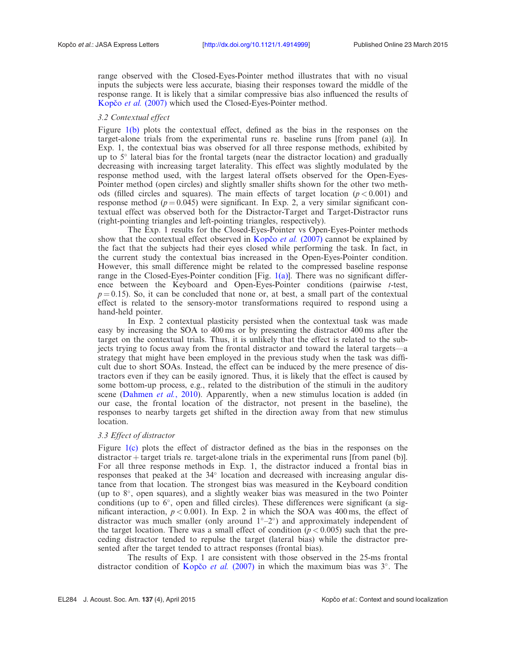range observed with the Closed-Eyes-Pointer method illustrates that with no visual inputs the subjects were less accurate, biasing their responses toward the middle of the response range. It is likely that a similar compressive bias also influenced the results of Kopčo et al. (2007) which used the Closed-Eyes-Pointer method.

# 3.2 Contextual effect

Figure [1\(b\)](#page-2-0) plots the contextual effect, defined as the bias in the responses on the target-alone trials from the experimental runs re. baseline runs [from panel (a)]. In Exp. 1, the contextual bias was observed for all three response methods, exhibited by up to 5° lateral bias for the frontal targets (near the distractor location) and gradually decreasing with increasing target laterality. This effect was slightly modulated by the response method used, with the largest lateral offsets observed for the Open-Eyes-Pointer method (open circles) and slightly smaller shifts shown for the other two methods (filled circles and squares). The main effects of target location ( $p < 0.001$ ) and response method ( $p = 0.045$ ) were significant. In Exp. 2, a very similar significant contextual effect was observed both for the Distractor-Target and Target-Distractor runs (right-pointing triangles and left-pointing triangles, respectively).

The Exp. 1 results for the Closed-Eyes-Pointer vs Open-Eyes-Pointer methods show that the contextual effect observed in Kopčo et al. (2007) cannot be explained by the fact that the subjects had their eyes closed while performing the task. In fact, in the current study the contextual bias increased in the Open-Eyes-Pointer condition. However, this small difference might be related to the compressed baseline response range in the Closed-Eyes-Pointer condition  $[Fig, 1(a)]$  $[Fig, 1(a)]$ . There was no significant difference between the Keyboard and Open-Eyes-Pointer conditions (pairwise t-test,  $p = 0.15$ ). So, it can be concluded that none or, at best, a small part of the contextual effect is related to the sensory-motor transformations required to respond using a hand-held pointer.

In Exp. 2 contextual plasticity persisted when the contextual task was made easy by increasing the SOA to 400 ms or by presenting the distractor 400 ms after the target on the contextual trials. Thus, it is unlikely that the effect is related to the subjects trying to focus away from the frontal distractor and toward the lateral targets—a strategy that might have been employed in the previous study when the task was difficult due to short SOAs. Instead, the effect can be induced by the mere presence of distractors even if they can be easily ignored. Thus, it is likely that the effect is caused by some bottom-up process, e.g., related to the distribution of the stimuli in the auditory scene [\(Dahmen](#page-6-0) *et al.*, 2010). Apparently, when a new stimulus location is added (in our case, the frontal location of the distractor, not present in the baseline), the responses to nearby targets get shifted in the direction away from that new stimulus location.

# 3.3 Effect of distractor

Figure [1\(c\)](#page-2-0) plots the effect of distractor defined as the bias in the responses on the  $distraction + target trials$  re. target-alone trials in the experimental runs [from panel (b)]. For all three response methods in Exp. 1, the distractor induced a frontal bias in responses that peaked at the 34° location and decreased with increasing angular distance from that location. The strongest bias was measured in the Keyboard condition (up to 8°, open squares), and a slightly weaker bias was measured in the two Pointer conditions (up to  $6^\circ$ , open and filled circles). These differences were significant (a significant interaction,  $p < 0.001$ ). In Exp. 2 in which the SOA was 400 ms, the effect of distractor was much smaller (only around  $1^\circ-2^\circ$ ) and approximately independent of the target location. There was a small effect of condition ( $p < 0.005$ ) such that the preceding distractor tended to repulse the target (lateral bias) while the distractor presented after the target tended to attract responses (frontal bias).

The results of Exp. 1 are consistent with those observed in the 25-ms frontal distractor condition of Kopčo et al. (2007) in which the maximum bias was  $3^\circ$ . The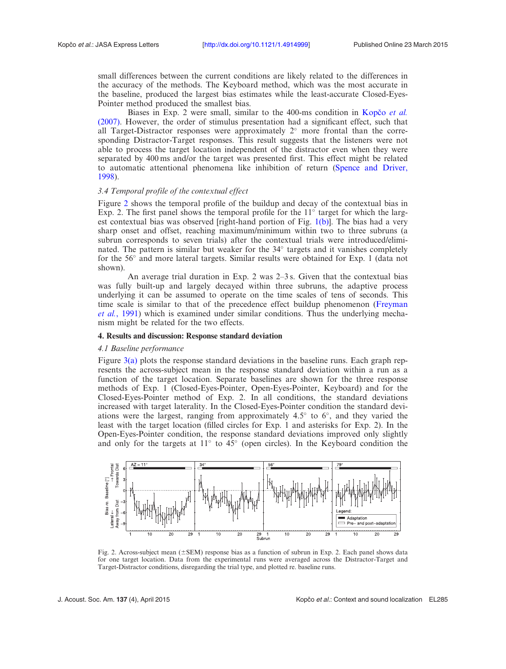small differences between the current conditions are likely related to the differences in the accuracy of the methods. The Keyboard method, which was the most accurate in the baseline, produced the largest bias estimates while the least-accurate Closed-Eyes-Pointer method produced the smallest bias.

Biases in Exp. 2 were small, similar to the 400-ms condition in Kopco et al. [\(2007\).](#page-6-0) However, the order of stimulus presentation had a significant effect, such that all Target-Distractor responses were approximately  $2^{\circ}$  more frontal than the corresponding Distractor-Target responses. This result suggests that the listeners were not able to process the target location independent of the distractor even when they were separated by 400 ms and/or the target was presented first. This effect might be related to automatic attentional phenomena like inhibition of return ([Spence and Driver,](#page-6-0) [1998\)](#page-6-0).

# 3.4 Temporal profile of the contextual effect

Figure 2 shows the temporal profile of the buildup and decay of the contextual bias in Exp. 2. The first panel shows the temporal profile for the  $11^{\circ}$  target for which the largest contextual bias was observed [right-hand portion of Fig.  $1(b)$ ]. The bias had a very sharp onset and offset, reaching maximum/minimum within two to three subruns (a subrun corresponds to seven trials) after the contextual trials were introduced/eliminated. The pattern is similar but weaker for the 34° targets and it vanishes completely for the 56° and more lateral targets. Similar results were obtained for Exp. 1 (data not shown).

An average trial duration in Exp. 2 was 2–3 s. Given that the contextual bias was fully built-up and largely decayed within three subruns, the adaptive process underlying it can be assumed to operate on the time scales of tens of seconds. This time scale is similar to that of the precedence effect buildup phenomenon [\(Freyman](#page-6-0) et al.[, 1991](#page-6-0)) which is examined under similar conditions. Thus the underlying mechanism might be related for the two effects.

## 4. Results and discussion: Response standard deviation

## 4.1 Baseline performance

Figure [3\(a\)](#page-5-0) plots the response standard deviations in the baseline runs. Each graph represents the across-subject mean in the response standard deviation within a run as a function of the target location. Separate baselines are shown for the three response methods of Exp. 1 (Closed-Eyes-Pointer, Open-Eyes-Pointer, Keyboard) and for the Closed-Eyes-Pointer method of Exp. 2. In all conditions, the standard deviations increased with target laterality. In the Closed-Eyes-Pointer condition the standard deviations were the largest, ranging from approximately  $4.5^{\circ}$  to  $6^{\circ}$ , and they varied the least with the target location (filled circles for Exp. 1 and asterisks for Exp. 2). In the Open-Eyes-Pointer condition, the response standard deviations improved only slightly and only for the targets at  $11^{\circ}$  to  $45^{\circ}$  (open circles). In the Keyboard condition the



Fig. 2. Across-subject mean  $(\pm$  SEM) response bias as a function of subrun in Exp. 2. Each panel shows data for one target location. Data from the experimental runs were averaged across the Distractor-Target and Target-Distractor conditions, disregarding the trial type, and plotted re. baseline runs.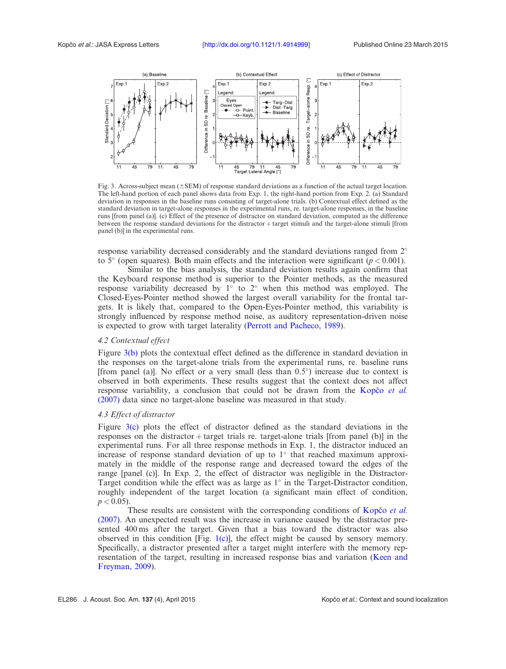<span id="page-5-0"></span>

Fig. 3. Across-subject mean ( $\pm$ SEM) of response standard deviations as a function of the actual target location. The left-hand portion of each panel shows data from Exp. 1, the right-hand portion from Exp. 2. (a) Standard deviation in responses in the baseline runs consisting of target-alone trials. (b) Contextual effect defined as the standard deviation in target-alone responses in the experimental runs, re. target-alone responses, in the baseline runs [from panel (a)]. (c) Effect of the presence of distractor on standard deviation, computed as the difference between the response standard deviations for the distractor + target stimuli and the target-alone stimuli [from panel (b)] in the experimental runs.

response variability decreased considerably and the standard deviations ranged from  $2^{\circ}$ to 5 $^{\circ}$  (open squares). Both main effects and the interaction were significant ( $p < 0.001$ ).

Similar to the bias analysis, the standard deviation results again confirm that the Keyboard response method is superior to the Pointer methods, as the measured response variability decreased by  $1^{\circ}$  to  $2^{\circ}$  when this method was employed. The Closed-Eyes-Pointer method showed the largest overall variability for the frontal targets. It is likely that, compared to the Open-Eyes-Pointer method, this variability is strongly influenced by response method noise, as auditory representation-driven noise is expected to grow with target laterality ([Perrott and Pacheco, 1989\)](#page-6-0).

# 4.2 Contextual effect

Figure 3(b) plots the contextual effect defined as the difference in standard deviation in the responses on the target-alone trials from the experimental runs, re. baseline runs [from panel (a)]. No effect or a very small (less than  $0.5^{\circ}$ ) increase due to context is observed in both experiments. These results suggest that the context does not affect response variability, a conclusion that could not be drawn from the Kopco et al. [\(2007\)](#page-6-0) data since no target-alone baseline was measured in that study.

# 4.3 Effect of distractor

Figure 3(c) plots the effect of distractor defined as the standard deviations in the responses on the distractor  $+$  target trials re. target-alone trials [from panel (b)] in the experimental runs. For all three response methods in Exp. 1, the distractor induced an increase of response standard deviation of up to  $1^\circ$  that reached maximum approximately in the middle of the response range and decreased toward the edges of the range [panel (c)]. In Exp. 2, the effect of distractor was negligible in the Distractor-Target condition while the effect was as large as  $1^\circ$  in the Target-Distractor condition, roughly independent of the target location (a significant main effect of condition,  $p < 0.05$ ).

These results are consistent with the corresponding conditions of Kopco *et al.* [\(2007\).](#page-6-0) An unexpected result was the increase in variance caused by the distractor presented 400 ms after the target. Given that a bias toward the distractor was also observed in this condition  $[Fig, 1(c)]$  $[Fig, 1(c)]$  $[Fig, 1(c)]$ , the effect might be caused by sensory memory. Specifically, a distractor presented after a target might interfere with the memory representation of the target, resulting in increased response bias and variation [\(Keen and](#page-6-0) [Freyman, 2009](#page-6-0)).